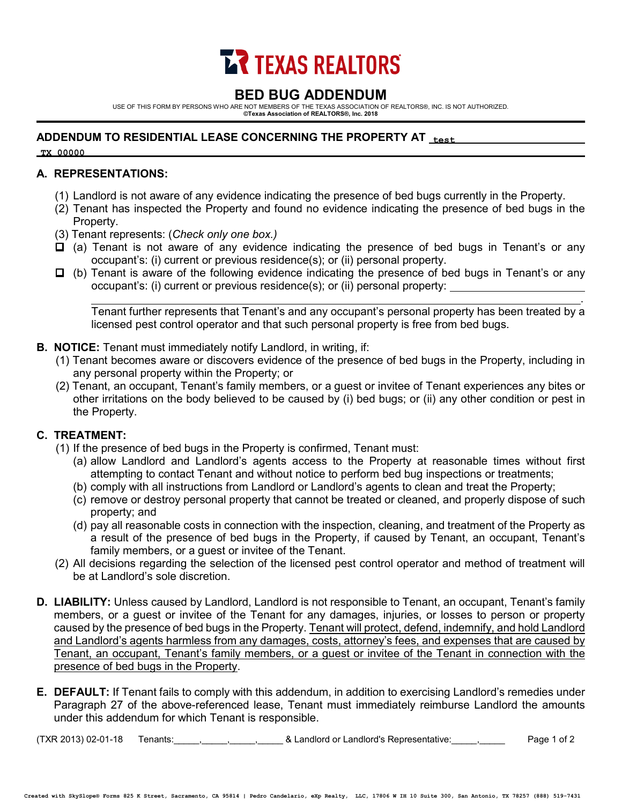

# **BED BUG ADDENDUM**

USE OF THIS FORM BY PERSONS WHO ARE NOT MEMBERS OF THE TEXAS ASSOCIATION OF REALTORS®, INC. IS NOT AUTHORIZED. **©Texas Association of REALTORS®, Inc. 2018**

## **ADDENDUM TO RESIDENTIAL LEASE CONCERNING THE PROPERTY AT test**

**TX 00000**

### **A. REPRESENTATIONS:**

- (1) Landlord is not aware of any evidence indicating the presence of bed bugs currently in the Property.
- (2) Tenant has inspected the Property and found no evidence indicating the presence of bed bugs in the Property.
- (3) Tenant represents: (*Check only one box.)*
- $\Box$  (a) Tenant is not aware of any evidence indicating the presence of bed bugs in Tenant's or any occupant's: (i) current or previous residence(s); or (ii) personal property.
- $\Box$  (b) Tenant is aware of the following evidence indicating the presence of bed bugs in Tenant's or any occupant's: (i) current or previous residence(s); or (ii) personal property:

. Tenant further represents that Tenant's and any occupant's personal property has been treated by a licensed pest control operator and that such personal property is free from bed bugs.

- **B. NOTICE:** Tenant must immediately notify Landlord, in writing, if:
	- (1) Tenant becomes aware or discovers evidence of the presence of bed bugs in the Property, including in any personal property within the Property; or
	- (2) Tenant, an occupant, Tenant's family members, or a guest or invitee of Tenant experiences any bites or other irritations on the body believed to be caused by (i) bed bugs; or (ii) any other condition or pest in the Property.

### **C. TREATMENT:**

- (1) If the presence of bed bugs in the Property is confirmed, Tenant must:
	- (a) allow Landlord and Landlord's agents access to the Property at reasonable times without first attempting to contact Tenant and without notice to perform bed bug inspections or treatments;
	- (b) comply with all instructions from Landlord or Landlord's agents to clean and treat the Property;
	- (c) remove or destroy personal property that cannot be treated or cleaned, and properly dispose of such property; and
	- (d) pay all reasonable costs in connection with the inspection, cleaning, and treatment of the Property as a result of the presence of bed bugs in the Property, if caused by Tenant, an occupant, Tenant's family members, or a guest or invitee of the Tenant.
- (2) All decisions regarding the selection of the licensed pest control operator and method of treatment will be at Landlord's sole discretion.
- **D. LIABILITY:** Unless caused by Landlord, Landlord is not responsible to Tenant, an occupant, Tenant's family members, or a guest or invitee of the Tenant for any damages, injuries, or losses to person or property caused by the presence of bed bugs in the Property. Tenant will protect, defend, indemnify, and hold Landlord and Landlord's agents harmless from any damages, costs, attorney's fees, and expenses that are caused by Tenant, an occupant, Tenant's family members, or a guest or invitee of the Tenant in connection with the presence of bed bugs in the Property.
- **E. DEFAULT:** If Tenant fails to comply with this addendum, in addition to exercising Landlord's remedies under Paragraph 27 of the above-referenced lease, Tenant must immediately reimburse Landlord the amounts under this addendum for which Tenant is responsible.

(TXR 2013) 02-01-18 Tenants:\_\_\_\_\_,\_\_\_\_\_,\_\_\_\_\_,\_\_\_\_\_ & Landlord or Landlord's Representative:\_\_\_\_\_,\_\_\_\_\_ Page 1 of 2